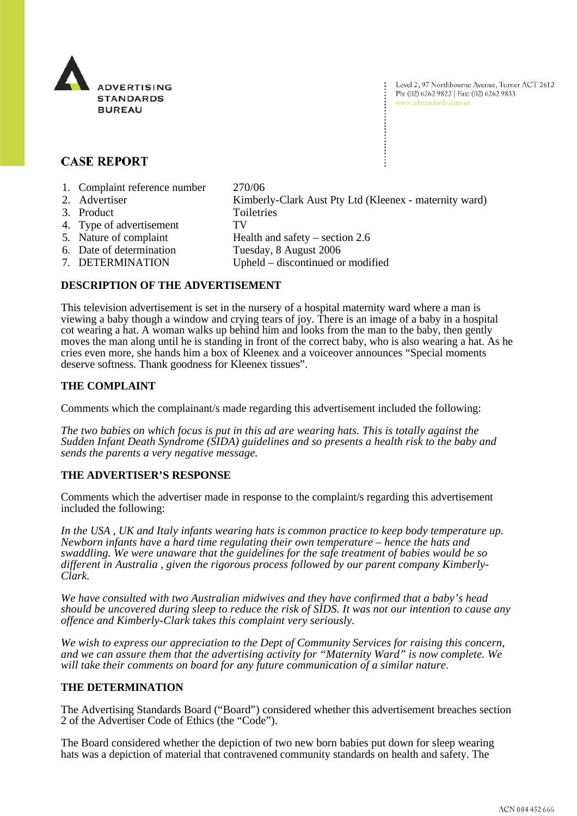

Level 2, 97 Northbourne Avenue, Turner ACT 2612 Ph: (02) 6262 9822 | Fax: (02) 6262 9833 www.adstandards.com.au

# **CASE REPORT**

- 1. Complaint reference number 270/06
- 2. Advertiser Kimberly-Clark Aust Pty Ltd (Kleenex maternity ward)
- 3. Product Toiletries
- 4. Type of advertisement TV
- 5. Nature of complaint Health and safety section 2.6
	-
- 
- 6. Date of determination<br>
Tuesday, 8 August 2006<br>
7. DETERMINATION<br>
Upheld discontinued o
- Upheld discontinued or modified

## **DESCRIPTION OF THE ADVERTISEMENT**

This television advertisement is set in the nursery of a hospital maternity ward where a man is viewing a baby though a window and crying tears of joy. There is an image of a baby in a hospital cot wearing a hat. A woman walks up behind him and looks from the man to the baby, then gently moves the man along until he is standing in front of the correct baby, who is also wearing a hat. As he cries even more, she hands him a box of Kleenex and a voiceover announces "Special moments deserve softness. Thank goodness for Kleenex tissues".

## **THE COMPLAINT**

Comments which the complainant/s made regarding this advertisement included the following:

*The two babies on which focus is put in this ad are wearing hats. This is totally against the Sudden Infant Death Syndrome (SIDA) guidelines and so presents a health risk to the baby and sends the parents a very negative message.* 

## **THE ADVERTISER'S RESPONSE**

Comments which the advertiser made in response to the complaint/s regarding this advertisement included the following:

*In the USA , UK and Italy infants wearing hats is common practice to keep body temperature up. Newborn infants have a hard time regulating their own temperature – hence the hats and swaddling. We were unaware that the guidelines for the safe treatment of babies would be so different in Australia , given the rigorous process followed by our parent company Kimberly-Clark.* 

*We have consulted with two Australian midwives and they have confirmed that a baby's head should be uncovered during sleep to reduce the risk of SIDS. It was not our intention to cause any offence and Kimberly-Clark takes this complaint very seriously.* 

*We wish to express our appreciation to the Dept of Community Services for raising this concern, and we can assure them that the advertising activity for "Maternity Ward" is now complete. We will take their comments on board for any future communication of a similar nature.* 

## **THE DETERMINATION**

The Advertising Standards Board ("Board") considered whether this advertisement breaches section 2 of the Advertiser Code of Ethics (the "Code").

The Board considered whether the depiction of two new born babies put down for sleep wearing hats was a depiction of material that contravened community standards on health and safety. The